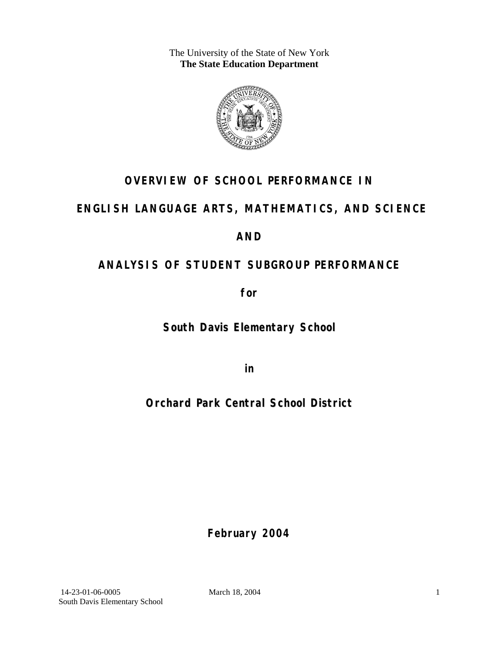The University of the State of New York **The State Education Department** 



## **OVERVIEW OF SCHOOL PERFORMANCE IN**

## **ENGLISH LANGUAGE ARTS, MATHEMATICS, AND SCIENCE**

### **AND**

## **ANALYSIS OF STUDENT SUBGROUP PERFORMANCE**

**for** 

**South Davis Elementary School**

**in** 

## **Orchard Park Central School District**

**February 2004**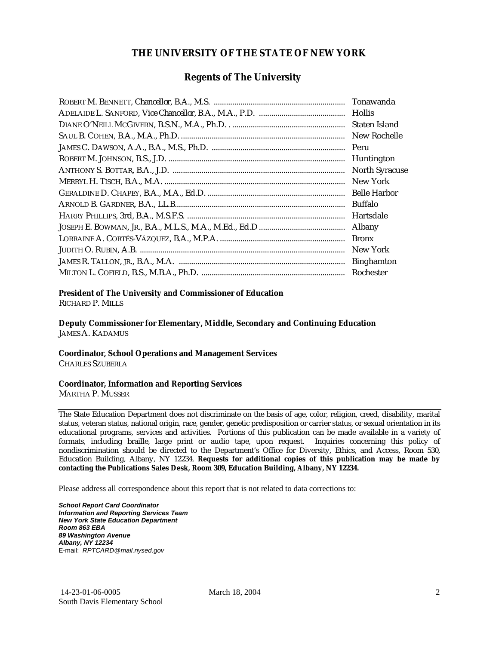#### **THE UNIVERSITY OF THE STATE OF NEW YORK**

#### **Regents of The University**

| Tonawanda             |
|-----------------------|
| <b>Hollis</b>         |
| Staten Island         |
| New Rochelle          |
| Peru                  |
| Huntington            |
| <b>North Syracuse</b> |
| New York              |
| <b>Belle Harbor</b>   |
| Buffalo               |
| Hartsdale             |
| Albany                |
| <b>Bronx</b>          |
| New York              |
| <b>Binghamton</b>     |
| Rochester             |

#### **President of The University and Commissioner of Education**

RICHARD P. MILLS

**Deputy Commissioner for Elementary, Middle, Secondary and Continuing Education**  JAMES A. KADAMUS

#### **Coordinator, School Operations and Management Services**

CHARLES SZUBERLA

#### **Coordinator, Information and Reporting Services**

MARTHA P. MUSSER

The State Education Department does not discriminate on the basis of age, color, religion, creed, disability, marital status, veteran status, national origin, race, gender, genetic predisposition or carrier status, or sexual orientation in its educational programs, services and activities. Portions of this publication can be made available in a variety of formats, including braille, large print or audio tape, upon request. Inquiries concerning this policy of nondiscrimination should be directed to the Department's Office for Diversity, Ethics, and Access, Room 530, Education Building, Albany, NY 12234. **Requests for additional copies of this publication may be made by contacting the Publications Sales Desk, Room 309, Education Building, Albany, NY 12234.** 

Please address all correspondence about this report that is not related to data corrections to:

*School Report Card Coordinator Information and Reporting Services Team New York State Education Department Room 863 EBA 89 Washington Avenue Albany, NY 12234*  E-mail: *RPTCARD@mail.nysed.gov*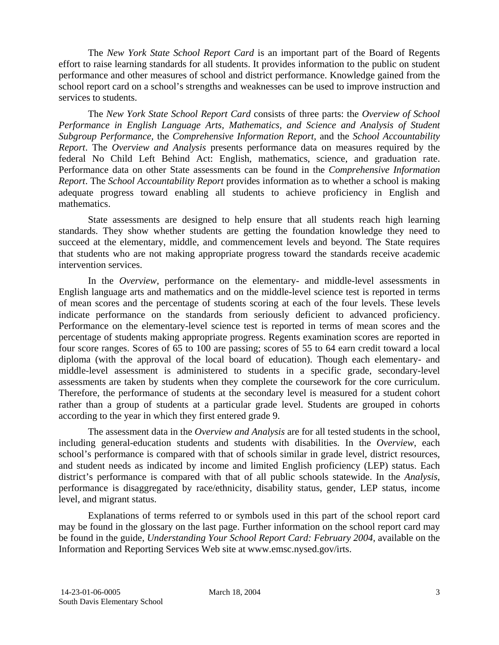The *New York State School Report Card* is an important part of the Board of Regents effort to raise learning standards for all students. It provides information to the public on student performance and other measures of school and district performance. Knowledge gained from the school report card on a school's strengths and weaknesses can be used to improve instruction and services to students.

The *New York State School Report Card* consists of three parts: the *Overview of School Performance in English Language Arts, Mathematics, and Science and Analysis of Student Subgroup Performance,* the *Comprehensive Information Report,* and the *School Accountability Report*. The *Overview and Analysis* presents performance data on measures required by the federal No Child Left Behind Act: English, mathematics, science, and graduation rate. Performance data on other State assessments can be found in the *Comprehensive Information Report*. The *School Accountability Report* provides information as to whether a school is making adequate progress toward enabling all students to achieve proficiency in English and mathematics.

State assessments are designed to help ensure that all students reach high learning standards. They show whether students are getting the foundation knowledge they need to succeed at the elementary, middle, and commencement levels and beyond. The State requires that students who are not making appropriate progress toward the standards receive academic intervention services.

In the *Overview*, performance on the elementary- and middle-level assessments in English language arts and mathematics and on the middle-level science test is reported in terms of mean scores and the percentage of students scoring at each of the four levels. These levels indicate performance on the standards from seriously deficient to advanced proficiency. Performance on the elementary-level science test is reported in terms of mean scores and the percentage of students making appropriate progress. Regents examination scores are reported in four score ranges. Scores of 65 to 100 are passing; scores of 55 to 64 earn credit toward a local diploma (with the approval of the local board of education). Though each elementary- and middle-level assessment is administered to students in a specific grade, secondary-level assessments are taken by students when they complete the coursework for the core curriculum. Therefore, the performance of students at the secondary level is measured for a student cohort rather than a group of students at a particular grade level. Students are grouped in cohorts according to the year in which they first entered grade 9.

The assessment data in the *Overview and Analysis* are for all tested students in the school, including general-education students and students with disabilities. In the *Overview*, each school's performance is compared with that of schools similar in grade level, district resources, and student needs as indicated by income and limited English proficiency (LEP) status. Each district's performance is compared with that of all public schools statewide. In the *Analysis*, performance is disaggregated by race/ethnicity, disability status, gender, LEP status, income level, and migrant status.

Explanations of terms referred to or symbols used in this part of the school report card may be found in the glossary on the last page. Further information on the school report card may be found in the guide, *Understanding Your School Report Card: February 2004*, available on the Information and Reporting Services Web site at www.emsc.nysed.gov/irts.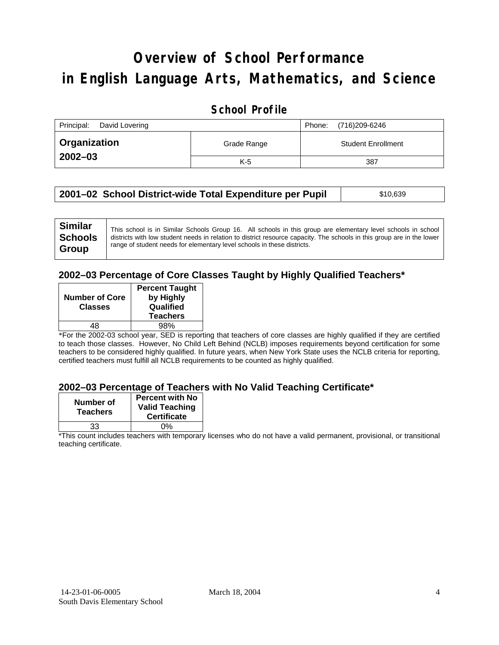# **Overview of School Performance in English Language Arts, Mathematics, and Science**

### **School Profile**

| Principal:<br>David Lovering | (716)209-6246<br>Phone: |                           |
|------------------------------|-------------------------|---------------------------|
| <b>Organization</b>          | Grade Range             | <b>Student Enrollment</b> |
| $2002 - 03$                  | K-5                     | 387                       |

| 2001–02 School District-wide Total Expenditure per Pupil | \$10,639 |
|----------------------------------------------------------|----------|
|----------------------------------------------------------|----------|

#### **2002–03 Percentage of Core Classes Taught by Highly Qualified Teachers\***

| <b>Number of Core</b><br><b>Classes</b> | <b>Percent Taught</b><br>by Highly<br>Qualified |
|-----------------------------------------|-------------------------------------------------|
|                                         | <b>Teachers</b>                                 |
| 48                                      | 98%                                             |
|                                         |                                                 |

\*For the 2002-03 school year, SED is reporting that teachers of core classes are highly qualified if they are certified to teach those classes. However, No Child Left Behind (NCLB) imposes requirements beyond certification for some teachers to be considered highly qualified. In future years, when New York State uses the NCLB criteria for reporting, certified teachers must fulfill all NCLB requirements to be counted as highly qualified.

#### **2002–03 Percentage of Teachers with No Valid Teaching Certificate\***

| Number of<br><b>Teachers</b> | <b>Percent with No</b><br><b>Valid Teaching</b><br><b>Certificate</b> |
|------------------------------|-----------------------------------------------------------------------|
| 33                           | ሰ%                                                                    |

\*This count includes teachers with temporary licenses who do not have a valid permanent, provisional, or transitional teaching certificate.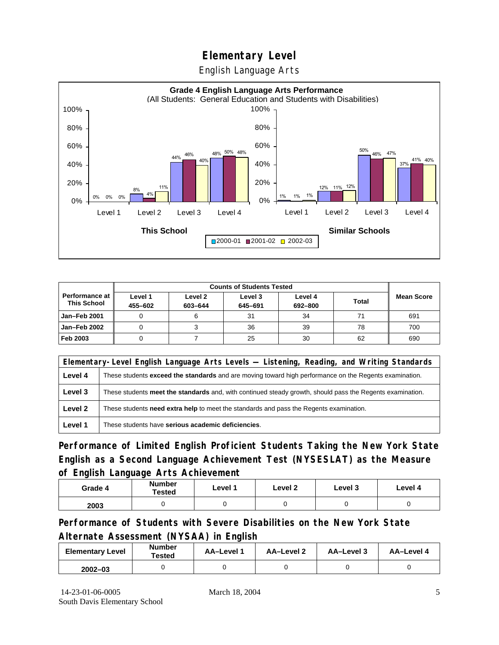English Language Arts



|                                        |                    | <b>Counts of Students Tested</b> |                    |                    |              |                   |
|----------------------------------------|--------------------|----------------------------------|--------------------|--------------------|--------------|-------------------|
| Performance at I<br><b>This School</b> | Level 1<br>455-602 | Level 2<br>603-644               | Level 3<br>645-691 | Level 4<br>692-800 | <b>Total</b> | <b>Mean Score</b> |
| <b>Jan-Feb 2001</b>                    |                    |                                  | 31                 | 34                 |              | 691               |
| Jan-Feb 2002                           |                    |                                  | 36                 | 39                 | 78           | 700               |
| Feb 2003                               |                    |                                  | 25                 | 30                 | 62           | 690               |

|         | Elementary-Level English Language Arts Levels — Listening, Reading, and Writing Standards                 |  |  |  |  |
|---------|-----------------------------------------------------------------------------------------------------------|--|--|--|--|
| Level 4 | These students exceed the standards and are moving toward high performance on the Regents examination.    |  |  |  |  |
| Level 3 | These students meet the standards and, with continued steady growth, should pass the Regents examination. |  |  |  |  |
| Level 2 | These students <b>need extra help</b> to meet the standards and pass the Regents examination.             |  |  |  |  |
| Level 1 | These students have serious academic deficiencies.                                                        |  |  |  |  |

**Performance of Limited English Proficient Students Taking the New York State English as a Second Language Achievement Test (NYSESLAT) as the Measure of English Language Arts Achievement**

| Grade 4 | <b>Number</b><br><b>Tested</b> | Level 1 | Level 2 | Level 3 | Level 4 |
|---------|--------------------------------|---------|---------|---------|---------|
| 2003    |                                |         |         |         |         |

**Performance of Students with Severe Disabilities on the New York State Alternate Assessment (NYSAA) in English** 

| <b>Elementary Level</b> | <b>Number</b><br>Tested | AA-Level 1 | AA-Level 2 | AA-Level 3 | AA-Level 4 |
|-------------------------|-------------------------|------------|------------|------------|------------|
| $2002 - 03$             |                         |            |            |            |            |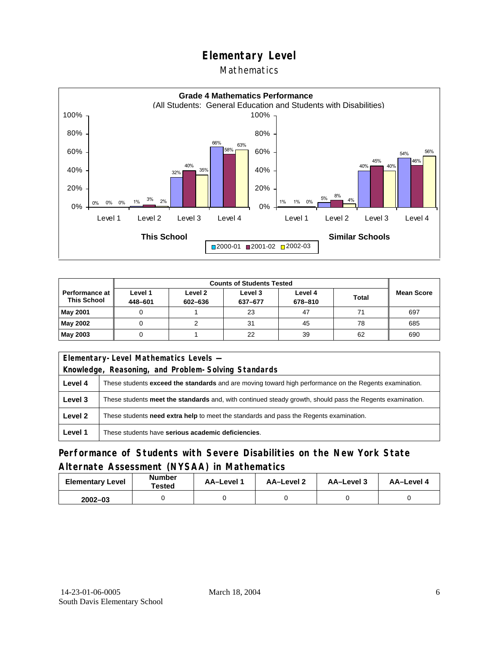#### Mathematics



|                                             |                    | <b>Counts of Students Tested</b> |                    |                    |              |                   |
|---------------------------------------------|--------------------|----------------------------------|--------------------|--------------------|--------------|-------------------|
| <b>Performance at</b><br><b>This School</b> | Level 1<br>448-601 | Level 2<br>602-636               | Level 3<br>637-677 | Level 4<br>678-810 | <b>Total</b> | <b>Mean Score</b> |
| <b>May 2001</b>                             |                    |                                  | 23                 | 47                 | 71           | 697               |
| May 2002                                    |                    |                                  | 31                 | 45                 | 78           | 685               |
| May 2003                                    |                    |                                  | 22                 | 39                 | 62           | 690               |

|         | Elementary-Level Mathematics Levels -                                                                     |  |  |  |  |
|---------|-----------------------------------------------------------------------------------------------------------|--|--|--|--|
|         | Knowledge, Reasoning, and Problem-Solving Standards                                                       |  |  |  |  |
| Level 4 | These students exceed the standards and are moving toward high performance on the Regents examination.    |  |  |  |  |
| Level 3 | These students meet the standards and, with continued steady growth, should pass the Regents examination. |  |  |  |  |
| Level 2 | These students need extra help to meet the standards and pass the Regents examination.                    |  |  |  |  |
| Level 1 | These students have serious academic deficiencies.                                                        |  |  |  |  |

### **Performance of Students with Severe Disabilities on the New York State Alternate Assessment (NYSAA) in Mathematics**

| <b>Elementary Level</b> | <b>Number</b><br>Tested | AA-Level 1 | AA-Level 2 | AA-Level 3 | AA-Level 4 |  |
|-------------------------|-------------------------|------------|------------|------------|------------|--|
| $2002 - 03$             |                         |            |            |            |            |  |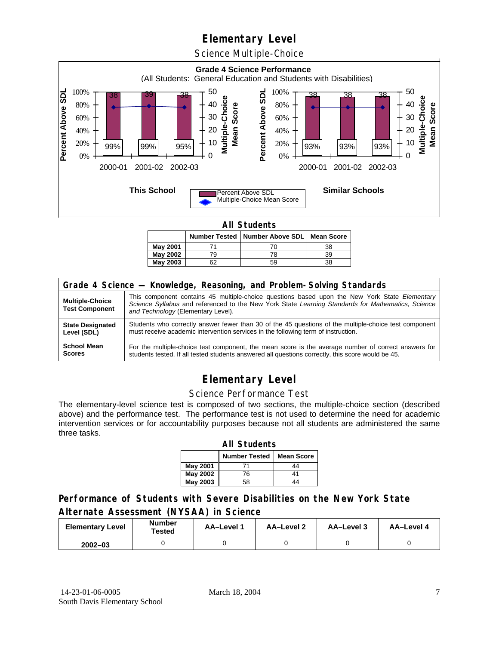Science Multiple-Choice



**All Students** 

|          |    | Number Tested   Number Above SDL   Mean Score |    |
|----------|----|-----------------------------------------------|----|
| May 2001 |    |                                               | 38 |
| May 2002 |    | 78                                            | 39 |
| May 2003 | r. | 59                                            | 38 |

| Grade 4 Science - Knowledge, Reasoning, and Problem-Solving Standards |                                                                                                                                                                                                                                          |  |  |  |  |  |
|-----------------------------------------------------------------------|------------------------------------------------------------------------------------------------------------------------------------------------------------------------------------------------------------------------------------------|--|--|--|--|--|
| <b>Multiple-Choice</b><br><b>Test Component</b>                       | This component contains 45 multiple-choice questions based upon the New York State Elementary<br>Science Syllabus and referenced to the New York State Learning Standards for Mathematics, Science<br>and Technology (Elementary Level). |  |  |  |  |  |
| <b>State Designated</b>                                               | Students who correctly answer fewer than 30 of the 45 questions of the multiple-choice test component                                                                                                                                    |  |  |  |  |  |
| Level (SDL)                                                           | must receive academic intervention services in the following term of instruction.                                                                                                                                                        |  |  |  |  |  |
| <b>School Mean</b>                                                    | For the multiple-choice test component, the mean score is the average number of correct answers for                                                                                                                                      |  |  |  |  |  |
| <b>Scores</b>                                                         | students tested. If all tested students answered all questions correctly, this score would be 45.                                                                                                                                        |  |  |  |  |  |

## **Elementary Level**

#### Science Performance Test

The elementary-level science test is composed of two sections, the multiple-choice section (described above) and the performance test. The performance test is not used to determine the need for academic intervention services or for accountability purposes because not all students are administered the same three tasks.

| <b>All Students</b>                       |    |    |  |  |  |  |  |  |
|-------------------------------------------|----|----|--|--|--|--|--|--|
| <b>Number Tested</b><br><b>Mean Score</b> |    |    |  |  |  |  |  |  |
| May 2001                                  |    | 44 |  |  |  |  |  |  |
| May 2002                                  | 76 | 41 |  |  |  |  |  |  |
| <b>May 2003</b>                           | 58 |    |  |  |  |  |  |  |

### **Performance of Students with Severe Disabilities on the New York State Alternate Assessment (NYSAA) in Science**

| <b>Elementary Level</b> | <b>Number</b><br>Tested | AA-Level 1 | <b>AA-Level 2</b> | AA-Level 3 | AA-Level 4 |  |
|-------------------------|-------------------------|------------|-------------------|------------|------------|--|
| $2002 - 03$             |                         |            |                   |            |            |  |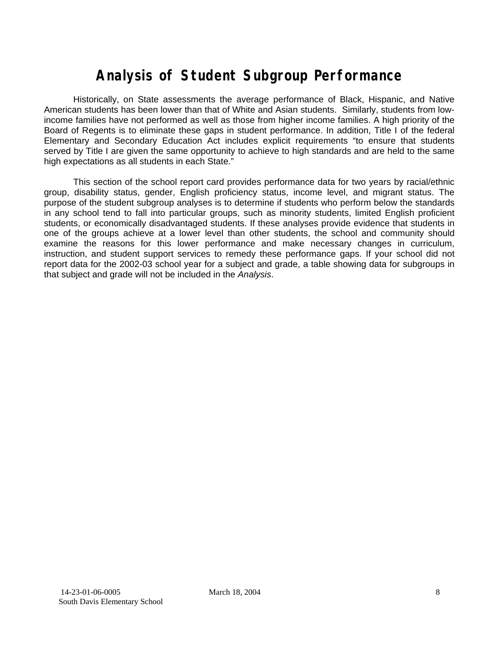# **Analysis of Student Subgroup Performance**

Historically, on State assessments the average performance of Black, Hispanic, and Native American students has been lower than that of White and Asian students. Similarly, students from lowincome families have not performed as well as those from higher income families. A high priority of the Board of Regents is to eliminate these gaps in student performance. In addition, Title I of the federal Elementary and Secondary Education Act includes explicit requirements "to ensure that students served by Title I are given the same opportunity to achieve to high standards and are held to the same high expectations as all students in each State."

This section of the school report card provides performance data for two years by racial/ethnic group, disability status, gender, English proficiency status, income level, and migrant status. The purpose of the student subgroup analyses is to determine if students who perform below the standards in any school tend to fall into particular groups, such as minority students, limited English proficient students, or economically disadvantaged students. If these analyses provide evidence that students in one of the groups achieve at a lower level than other students, the school and community should examine the reasons for this lower performance and make necessary changes in curriculum, instruction, and student support services to remedy these performance gaps. If your school did not report data for the 2002-03 school year for a subject and grade, a table showing data for subgroups in that subject and grade will not be included in the *Analysis*.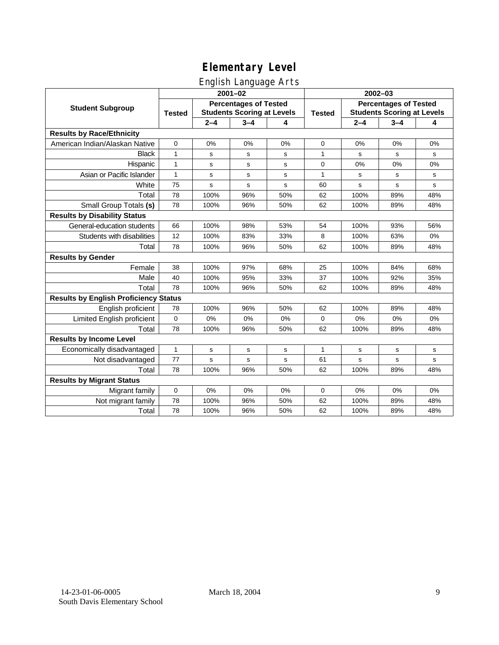### English Language Arts

|                                              | ັ<br>$2001 - 02$                                                                   |         |         |               | 2002-03                                                           |             |         |           |
|----------------------------------------------|------------------------------------------------------------------------------------|---------|---------|---------------|-------------------------------------------------------------------|-------------|---------|-----------|
| <b>Student Subgroup</b>                      | <b>Percentages of Tested</b><br><b>Students Scoring at Levels</b><br><b>Tested</b> |         |         | <b>Tested</b> | <b>Percentages of Tested</b><br><b>Students Scoring at Levels</b> |             |         |           |
|                                              |                                                                                    | $2 - 4$ | $3 - 4$ | 4             |                                                                   | $2 - 4$     | $3 - 4$ | 4         |
| <b>Results by Race/Ethnicity</b>             |                                                                                    |         |         |               |                                                                   |             |         |           |
| American Indian/Alaskan Native               | $\mathbf 0$                                                                        | 0%      | 0%      | 0%            | $\mathbf 0$                                                       | 0%          | 0%      | 0%        |
| <b>Black</b>                                 | $\mathbf{1}$                                                                       | s       | s       | s             | 1                                                                 | s           | s       | ${\tt s}$ |
| Hispanic                                     | 1                                                                                  | s       | s       | s             | 0                                                                 | 0%          | 0%      | 0%        |
| Asian or Pacific Islander                    | $\mathbf{1}$                                                                       | s       | s       | s             | $\mathbf{1}$                                                      | s           | s       | s         |
| White                                        | 75                                                                                 | s       | s       | s             | 60                                                                | $\mathbf s$ | s       | s         |
| Total                                        | 78                                                                                 | 100%    | 96%     | 50%           | 62                                                                | 100%        | 89%     | 48%       |
| Small Group Totals (s)                       | 78                                                                                 | 100%    | 96%     | 50%           | 62                                                                | 100%        | 89%     | 48%       |
| <b>Results by Disability Status</b>          |                                                                                    |         |         |               |                                                                   |             |         |           |
| General-education students                   | 66                                                                                 | 100%    | 98%     | 53%           | 54                                                                | 100%        | 93%     | 56%       |
| Students with disabilities                   | 12                                                                                 | 100%    | 83%     | 33%           | 8                                                                 | 100%        | 63%     | 0%        |
| Total                                        | 78                                                                                 | 100%    | 96%     | 50%           | 62                                                                | 100%        | 89%     | 48%       |
| <b>Results by Gender</b>                     |                                                                                    |         |         |               |                                                                   |             |         |           |
| Female                                       | 38                                                                                 | 100%    | 97%     | 68%           | 25                                                                | 100%        | 84%     | 68%       |
| Male                                         | 40                                                                                 | 100%    | 95%     | 33%           | 37                                                                | 100%        | 92%     | 35%       |
| Total                                        | 78                                                                                 | 100%    | 96%     | 50%           | 62                                                                | 100%        | 89%     | 48%       |
| <b>Results by English Proficiency Status</b> |                                                                                    |         |         |               |                                                                   |             |         |           |
| English proficient                           | 78                                                                                 | 100%    | 96%     | 50%           | 62                                                                | 100%        | 89%     | 48%       |
| Limited English proficient                   | $\pmb{0}$                                                                          | 0%      | 0%      | 0%            | 0                                                                 | 0%          | 0%      | 0%        |
| Total                                        | 78                                                                                 | 100%    | 96%     | 50%           | 62                                                                | 100%        | 89%     | 48%       |
| <b>Results by Income Level</b>               |                                                                                    |         |         |               |                                                                   |             |         |           |
| Economically disadvantaged                   | $\mathbf{1}$                                                                       | s       | s       | s             | $\mathbf{1}$                                                      | s           | s       | s         |
| Not disadvantaged                            | 77                                                                                 | s       | s       | S             | 61                                                                | s           | s       | s         |
| Total                                        | 78                                                                                 | 100%    | 96%     | 50%           | 62                                                                | 100%        | 89%     | 48%       |
| <b>Results by Migrant Status</b>             |                                                                                    |         |         |               |                                                                   |             |         |           |
| Migrant family                               | $\mathbf 0$                                                                        | 0%      | 0%      | 0%            | 0                                                                 | 0%          | 0%      | 0%        |
| Not migrant family                           | 78                                                                                 | 100%    | 96%     | 50%           | 62                                                                | 100%        | 89%     | 48%       |
| Total                                        | 78                                                                                 | 100%    | 96%     | 50%           | 62                                                                | 100%        | 89%     | 48%       |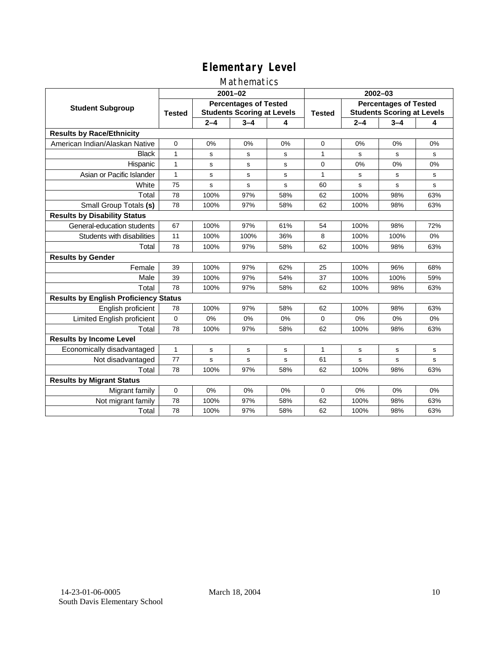### Mathematics

|                                              | $2001 - 02$                                                                        |         |             |               | $2002 - 03$                                                       |         |         |     |
|----------------------------------------------|------------------------------------------------------------------------------------|---------|-------------|---------------|-------------------------------------------------------------------|---------|---------|-----|
| <b>Student Subgroup</b>                      | <b>Percentages of Tested</b><br><b>Students Scoring at Levels</b><br><b>Tested</b> |         |             | <b>Tested</b> | <b>Percentages of Tested</b><br><b>Students Scoring at Levels</b> |         |         |     |
|                                              |                                                                                    | $2 - 4$ | $3 - 4$     | 4             |                                                                   | $2 - 4$ | $3 - 4$ | 4   |
| <b>Results by Race/Ethnicity</b>             |                                                                                    |         |             |               |                                                                   |         |         |     |
| American Indian/Alaskan Native               | $\mathbf{0}$                                                                       | 0%      | 0%          | 0%            | $\Omega$                                                          | 0%      | 0%      | 0%  |
| <b>Black</b>                                 | 1                                                                                  | s       | s           | s             | 1                                                                 | S       | s       | s   |
| Hispanic                                     | 1                                                                                  | s       | s           | s             | $\mathbf 0$                                                       | 0%      | 0%      | 0%  |
| Asian or Pacific Islander                    | 1                                                                                  | s       | $\mathbf s$ | s             | 1                                                                 | s       | s       | s   |
| White                                        | 75                                                                                 | s       | s           | s             | 60                                                                | s       | s       | s   |
| Total                                        | 78                                                                                 | 100%    | 97%         | 58%           | 62                                                                | 100%    | 98%     | 63% |
| Small Group Totals (s)                       | 78                                                                                 | 100%    | 97%         | 58%           | 62                                                                | 100%    | 98%     | 63% |
| <b>Results by Disability Status</b>          |                                                                                    |         |             |               |                                                                   |         |         |     |
| General-education students                   | 67                                                                                 | 100%    | 97%         | 61%           | 54                                                                | 100%    | 98%     | 72% |
| Students with disabilities                   | 11                                                                                 | 100%    | 100%        | 36%           | 8                                                                 | 100%    | 100%    | 0%  |
| Total                                        | 78                                                                                 | 100%    | 97%         | 58%           | 62                                                                | 100%    | 98%     | 63% |
| <b>Results by Gender</b>                     |                                                                                    |         |             |               |                                                                   |         |         |     |
| Female                                       | 39                                                                                 | 100%    | 97%         | 62%           | 25                                                                | 100%    | 96%     | 68% |
| Male                                         | 39                                                                                 | 100%    | 97%         | 54%           | 37                                                                | 100%    | 100%    | 59% |
| Total                                        | 78                                                                                 | 100%    | 97%         | 58%           | 62                                                                | 100%    | 98%     | 63% |
| <b>Results by English Proficiency Status</b> |                                                                                    |         |             |               |                                                                   |         |         |     |
| English proficient                           | 78                                                                                 | 100%    | 97%         | 58%           | 62                                                                | 100%    | 98%     | 63% |
| Limited English proficient                   | 0                                                                                  | 0%      | 0%          | 0%            | $\Omega$                                                          | 0%      | 0%      | 0%  |
| Total                                        | 78                                                                                 | 100%    | 97%         | 58%           | 62                                                                | 100%    | 98%     | 63% |
| <b>Results by Income Level</b>               |                                                                                    |         |             |               |                                                                   |         |         |     |
| Economically disadvantaged                   | $\mathbf{1}$                                                                       | s       | s           | s             | $\mathbf{1}$                                                      | s       | s       | s   |
| Not disadvantaged                            | 77                                                                                 | s       | s           | s             | 61                                                                | s       | s       | s   |
| Total                                        | 78                                                                                 | 100%    | 97%         | 58%           | 62                                                                | 100%    | 98%     | 63% |
| <b>Results by Migrant Status</b>             |                                                                                    |         |             |               |                                                                   |         |         |     |
| Migrant family                               | 0                                                                                  | 0%      | 0%          | 0%            | 0                                                                 | 0%      | 0%      | 0%  |
| Not migrant family                           | 78                                                                                 | 100%    | 97%         | 58%           | 62                                                                | 100%    | 98%     | 63% |
| Total                                        | 78                                                                                 | 100%    | 97%         | 58%           | 62                                                                | 100%    | 98%     | 63% |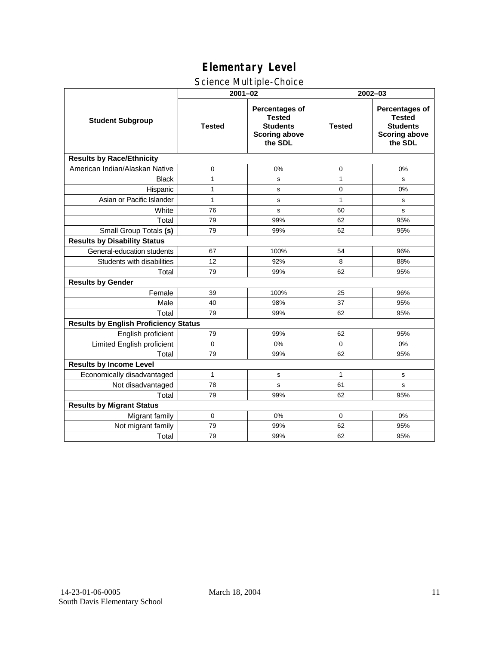### Science Multiple-Choice

|                                              | $2001 - 02$   |                                                                                              | 2002-03       |                                                                                              |  |  |  |
|----------------------------------------------|---------------|----------------------------------------------------------------------------------------------|---------------|----------------------------------------------------------------------------------------------|--|--|--|
| <b>Student Subgroup</b>                      | <b>Tested</b> | <b>Percentages of</b><br><b>Tested</b><br><b>Students</b><br><b>Scoring above</b><br>the SDL | <b>Tested</b> | <b>Percentages of</b><br><b>Tested</b><br><b>Students</b><br><b>Scoring above</b><br>the SDL |  |  |  |
| <b>Results by Race/Ethnicity</b>             |               |                                                                                              |               |                                                                                              |  |  |  |
| American Indian/Alaskan Native               | 0             | 0%                                                                                           | 0             | 0%                                                                                           |  |  |  |
| <b>Black</b>                                 | $\mathbf{1}$  | s                                                                                            | 1             | s                                                                                            |  |  |  |
| Hispanic                                     | 1             | s                                                                                            | $\mathbf 0$   | 0%                                                                                           |  |  |  |
| Asian or Pacific Islander                    | $\mathbf{1}$  | s                                                                                            | $\mathbf{1}$  | s                                                                                            |  |  |  |
| White                                        | 76            | s                                                                                            | 60            | s                                                                                            |  |  |  |
| Total                                        | 79            | 99%                                                                                          | 62            | 95%                                                                                          |  |  |  |
| Small Group Totals (s)                       | 79            | 99%                                                                                          | 62            | 95%                                                                                          |  |  |  |
| <b>Results by Disability Status</b>          |               |                                                                                              |               |                                                                                              |  |  |  |
| General-education students                   | 67            | 100%                                                                                         | 54            | 96%                                                                                          |  |  |  |
| Students with disabilities                   | 12            | 92%                                                                                          | 8             | 88%                                                                                          |  |  |  |
| Total                                        | 79            | 99%                                                                                          | 62            | 95%                                                                                          |  |  |  |
| <b>Results by Gender</b>                     |               |                                                                                              |               |                                                                                              |  |  |  |
| Female                                       | 39            | 100%                                                                                         | 25            | 96%                                                                                          |  |  |  |
| Male                                         | 40            | 98%                                                                                          | 37            | 95%                                                                                          |  |  |  |
| Total                                        | 79            | 99%                                                                                          | 62            | 95%                                                                                          |  |  |  |
| <b>Results by English Proficiency Status</b> |               |                                                                                              |               |                                                                                              |  |  |  |
| English proficient                           | 79            | 99%                                                                                          | 62            | 95%                                                                                          |  |  |  |
| Limited English proficient                   | $\mathbf 0$   | 0%                                                                                           | $\Omega$      | 0%                                                                                           |  |  |  |
| Total                                        | 79            | 99%                                                                                          | 62            | 95%                                                                                          |  |  |  |
| <b>Results by Income Level</b>               |               |                                                                                              |               |                                                                                              |  |  |  |
| Economically disadvantaged                   | $\mathbf{1}$  | s                                                                                            | $\mathbf{1}$  | s                                                                                            |  |  |  |
| Not disadvantaged                            | 78            | s                                                                                            | 61            | s                                                                                            |  |  |  |
| Total                                        | 79            | 99%                                                                                          | 62            | 95%                                                                                          |  |  |  |
| <b>Results by Migrant Status</b>             |               |                                                                                              |               |                                                                                              |  |  |  |
| Migrant family                               | 0             | 0%                                                                                           | 0             | 0%                                                                                           |  |  |  |
| Not migrant family                           | 79            | 99%                                                                                          | 62            | 95%                                                                                          |  |  |  |
| Total                                        | 79            | 99%                                                                                          | 62            | 95%                                                                                          |  |  |  |